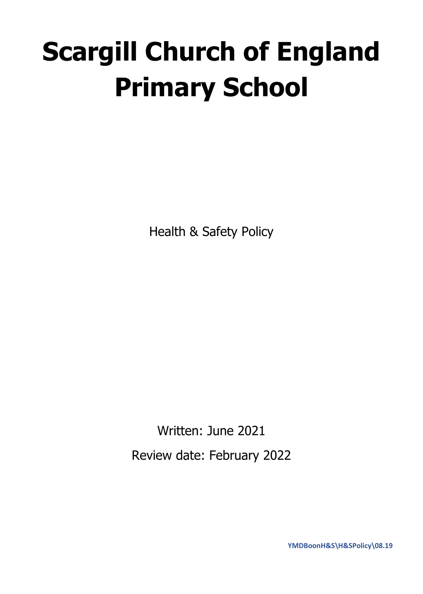# **Scargill Church of England Primary School**

Health & Safety Policy

Written: June 2021 Review date: February 2022

**YMDBoonH&S\H&SPolicy\08.19**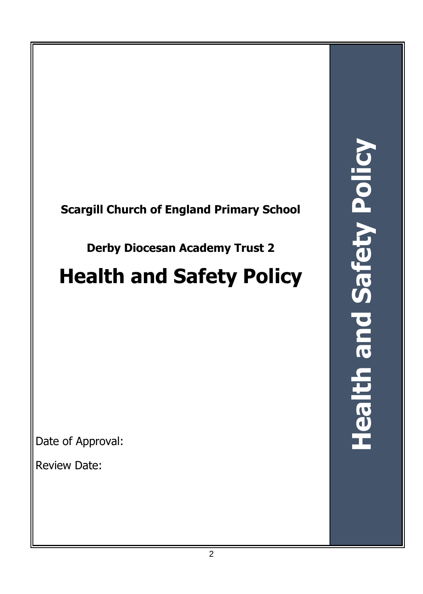

# **Derby Diocesan Academy Trust 2**

# **Health and Safety Policy**

Date of Approval:

Review Date: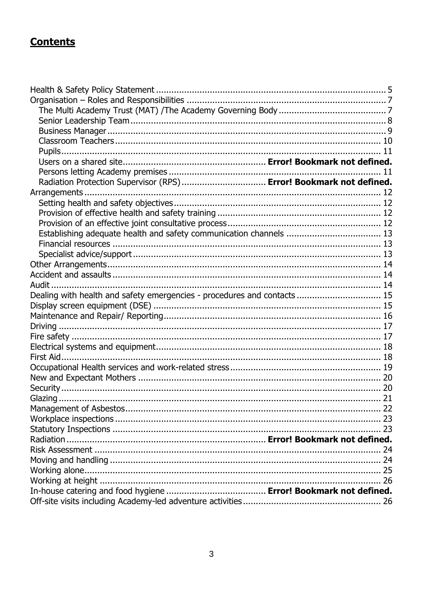# **Contents**

| Radiation Protection Supervisor (RPS)  Error! Bookmark not defined.      |  |
|--------------------------------------------------------------------------|--|
|                                                                          |  |
|                                                                          |  |
|                                                                          |  |
|                                                                          |  |
|                                                                          |  |
|                                                                          |  |
|                                                                          |  |
|                                                                          |  |
|                                                                          |  |
|                                                                          |  |
| Dealing with health and safety emergencies - procedures and contacts  15 |  |
|                                                                          |  |
|                                                                          |  |
|                                                                          |  |
|                                                                          |  |
|                                                                          |  |
|                                                                          |  |
|                                                                          |  |
|                                                                          |  |
|                                                                          |  |
|                                                                          |  |
|                                                                          |  |
|                                                                          |  |
|                                                                          |  |
|                                                                          |  |
|                                                                          |  |
|                                                                          |  |
|                                                                          |  |
|                                                                          |  |
|                                                                          |  |
|                                                                          |  |
|                                                                          |  |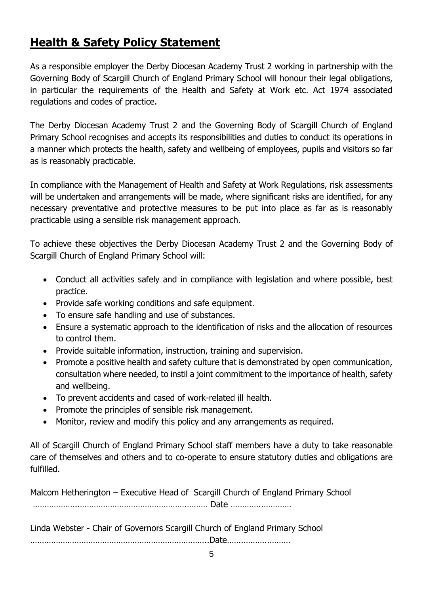# <span id="page-4-0"></span>**Health & Safety Policy Statement**

As a responsible employer the Derby Diocesan Academy Trust 2 working in partnership with the Governing Body of Scargill Church of England Primary School will honour their legal obligations, in particular the requirements of the Health and Safety at Work etc. Act 1974 associated regulations and codes of practice.

The Derby Diocesan Academy Trust 2 and the Governing Body of Scargill Church of England Primary School recognises and accepts its responsibilities and duties to conduct its operations in a manner which protects the health, safety and wellbeing of employees, pupils and visitors so far as is reasonably practicable.

In compliance with the Management of Health and Safety at Work Regulations, risk assessments will be undertaken and arrangements will be made, where significant risks are identified, for any necessary preventative and protective measures to be put into place as far as is reasonably practicable using a sensible risk management approach.

To achieve these objectives the Derby Diocesan Academy Trust 2 and the Governing Body of Scargill Church of England Primary School will:

- Conduct all activities safely and in compliance with legislation and where possible, best practice.
- Provide safe working conditions and safe equipment.
- To ensure safe handling and use of substances.
- Ensure a systematic approach to the identification of risks and the allocation of resources to control them.
- Provide suitable information, instruction, training and supervision.
- Promote a positive health and safety culture that is demonstrated by open communication, consultation where needed, to instil a joint commitment to the importance of health, safety and wellbeing.
- To prevent accidents and cased of work-related ill health.
- Promote the principles of sensible risk management.
- Monitor, review and modify this policy and any arrangements as required.

All of Scargill Church of England Primary School staff members have a duty to take reasonable care of themselves and others and to co-operate to ensure statutory duties and obligations are fulfilled.

Malcom Hetherington – Executive Head of Scargill Church of England Primary School

………………..……………………………………….……… Date …………..…………

Linda Webster - Chair of Governors Scargill Church of England Primary School

…………………………………………………………………..Date…….………..………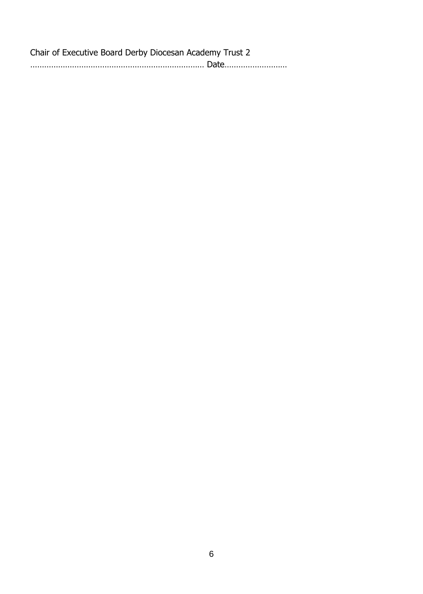| Chair of Executive Board Derby Diocesan Academy Trust 2 |  |
|---------------------------------------------------------|--|
|                                                         |  |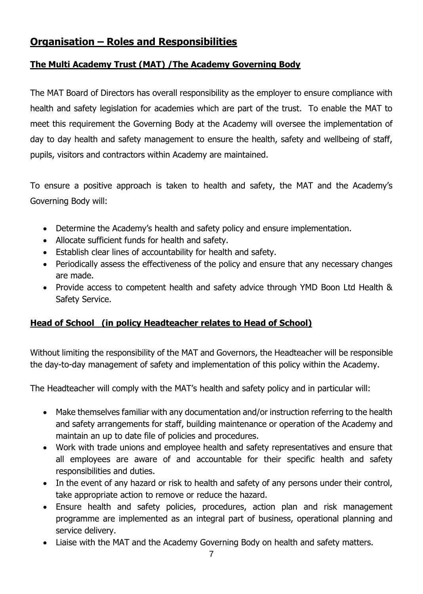# <span id="page-6-0"></span>**Organisation – Roles and Responsibilities**

#### <span id="page-6-1"></span>**The Multi Academy Trust (MAT) /The Academy Governing Body**

The MAT Board of Directors has overall responsibility as the employer to ensure compliance with health and safety legislation for academies which are part of the trust. To enable the MAT to meet this requirement the Governing Body at the Academy will oversee the implementation of day to day health and safety management to ensure the health, safety and wellbeing of staff, pupils, visitors and contractors within Academy are maintained.

To ensure a positive approach is taken to health and safety, the MAT and the Academy's Governing Body will:

- Determine the Academy's health and safety policy and ensure implementation.
- Allocate sufficient funds for health and safety.
- Establish clear lines of accountability for health and safety.
- Periodically assess the effectiveness of the policy and ensure that any necessary changes are made.
- Provide access to competent health and safety advice through YMD Boon Ltd Health & Safety Service.

#### **Head of School (in policy Headteacher relates to Head of School)**

Without limiting the responsibility of the MAT and Governors, the Headteacher will be responsible the day-to-day management of safety and implementation of this policy within the Academy.

The Headteacher will comply with the MAT's health and safety policy and in particular will:

- Make themselves familiar with any documentation and/or instruction referring to the health and safety arrangements for staff, building maintenance or operation of the Academy and maintain an up to date file of policies and procedures.
- Work with trade unions and employee health and safety representatives and ensure that all employees are aware of and accountable for their specific health and safety responsibilities and duties.
- In the event of any hazard or risk to health and safety of any persons under their control, take appropriate action to remove or reduce the hazard.
- Ensure health and safety policies, procedures, action plan and risk management programme are implemented as an integral part of business, operational planning and service delivery.
- Liaise with the MAT and the Academy Governing Body on health and safety matters.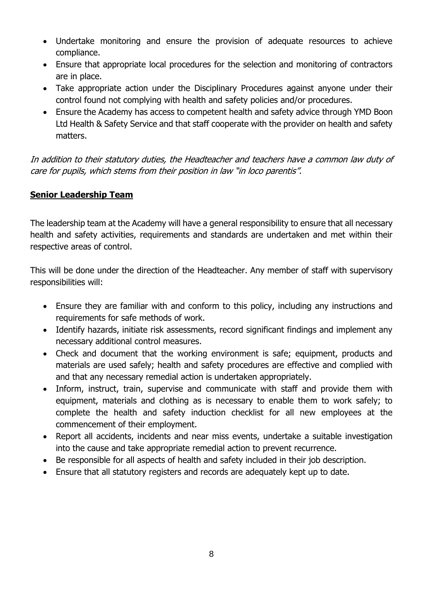- Undertake monitoring and ensure the provision of adequate resources to achieve compliance.
- Ensure that appropriate local procedures for the selection and monitoring of contractors are in place.
- Take appropriate action under the Disciplinary Procedures against anyone under their control found not complying with health and safety policies and/or procedures.
- Ensure the Academy has access to competent health and safety advice through YMD Boon Ltd Health & Safety Service and that staff cooperate with the provider on health and safety matters.

In addition to their statutory duties, the Headteacher and teachers have a common law duty of care for pupils, which stems from their position in law "in loco parentis".

#### <span id="page-7-0"></span>**Senior Leadership Team**

The leadership team at the Academy will have a general responsibility to ensure that all necessary health and safety activities, requirements and standards are undertaken and met within their respective areas of control.

This will be done under the direction of the Headteacher. Any member of staff with supervisory responsibilities will:

- Ensure they are familiar with and conform to this policy, including any instructions and requirements for safe methods of work.
- Identify hazards, initiate risk assessments, record significant findings and implement any necessary additional control measures.
- Check and document that the working environment is safe; equipment, products and materials are used safely; health and safety procedures are effective and complied with and that any necessary remedial action is undertaken appropriately.
- Inform, instruct, train, supervise and communicate with staff and provide them with equipment, materials and clothing as is necessary to enable them to work safely; to complete the health and safety induction checklist for all new employees at the commencement of their employment.
- Report all accidents, incidents and near miss events, undertake a suitable investigation into the cause and take appropriate remedial action to prevent recurrence.
- Be responsible for all aspects of health and safety included in their job description.
- Ensure that all statutory registers and records are adequately kept up to date.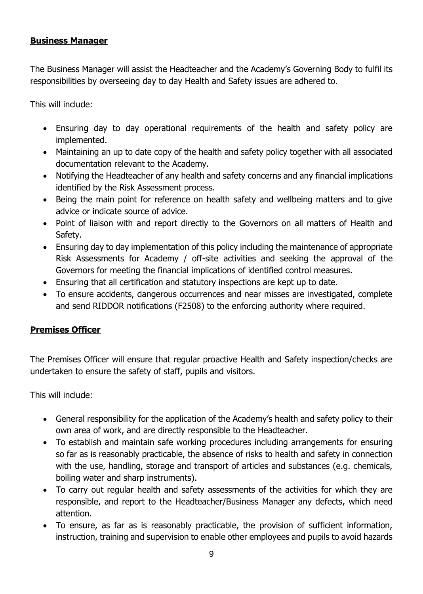#### <span id="page-8-0"></span>**Business Manager**

The Business Manager will assist the Headteacher and the Academy's Governing Body to fulfil its responsibilities by overseeing day to day Health and Safety issues are adhered to.

This will include:

- Ensuring day to day operational requirements of the health and safety policy are implemented.
- Maintaining an up to date copy of the health and safety policy together with all associated documentation relevant to the Academy.
- Notifying the Headteacher of any health and safety concerns and any financial implications identified by the Risk Assessment process.
- Being the main point for reference on health safety and wellbeing matters and to give advice or indicate source of advice.
- Point of liaison with and report directly to the Governors on all matters of Health and Safety.
- Ensuring day to day implementation of this policy including the maintenance of appropriate Risk Assessments for Academy / off-site activities and seeking the approval of the Governors for meeting the financial implications of identified control measures.
- Ensuring that all certification and statutory inspections are kept up to date.
- To ensure accidents, dangerous occurrences and near misses are investigated, complete and send RIDDOR notifications (F2508) to the enforcing authority where required.

#### **Premises Officer**

The Premises Officer will ensure that regular proactive Health and Safety inspection/checks are undertaken to ensure the safety of staff, pupils and visitors.

This will include:

- General responsibility for the application of the Academy's health and safety policy to their own area of work, and are directly responsible to the Headteacher.
- To establish and maintain safe working procedures including arrangements for ensuring so far as is reasonably practicable, the absence of risks to health and safety in connection with the use, handling, storage and transport of articles and substances (e.g. chemicals, boiling water and sharp instruments).
- To carry out regular health and safety assessments of the activities for which they are responsible, and report to the Headteacher/Business Manager any defects, which need attention.
- To ensure, as far as is reasonably practicable, the provision of sufficient information, instruction, training and supervision to enable other employees and pupils to avoid hazards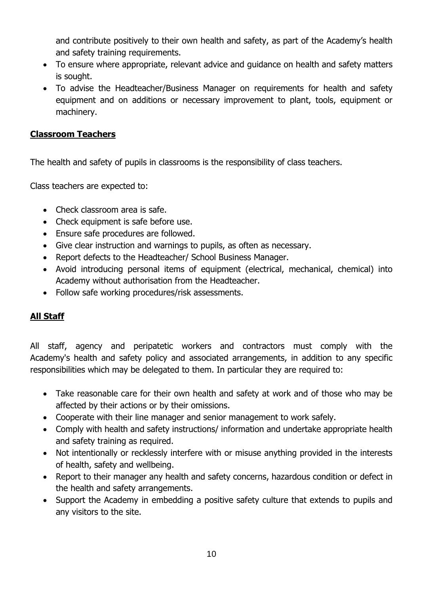and contribute positively to their own health and safety, as part of the Academy's health and safety training requirements.

- To ensure where appropriate, relevant advice and guidance on health and safety matters is sought.
- To advise the Headteacher/Business Manager on requirements for health and safety equipment and on additions or necessary improvement to plant, tools, equipment or machinery.

#### <span id="page-9-0"></span>**Classroom Teachers**

The health and safety of pupils in classrooms is the responsibility of class teachers.

Class teachers are expected to:

- Check classroom area is safe.
- Check equipment is safe before use.
- Ensure safe procedures are followed.
- Give clear instruction and warnings to pupils, as often as necessary.
- Report defects to the Headteacher/ School Business Manager.
- Avoid introducing personal items of equipment (electrical, mechanical, chemical) into Academy without authorisation from the Headteacher.
- Follow safe working procedures/risk assessments.

#### **All Staff**

All staff, agency and peripatetic workers and contractors must comply with the Academy's health and safety policy and associated arrangements, in addition to any specific responsibilities which may be delegated to them. In particular they are required to:

- Take reasonable care for their own health and safety at work and of those who may be affected by their actions or by their omissions.
- Cooperate with their line manager and senior management to work safely.
- Comply with health and safety instructions/ information and undertake appropriate health and safety training as required.
- Not intentionally or recklessly interfere with or misuse anything provided in the interests of health, safety and wellbeing.
- Report to their manager any health and safety concerns, hazardous condition or defect in the health and safety arrangements.
- Support the Academy in embedding a positive safety culture that extends to pupils and any visitors to the site.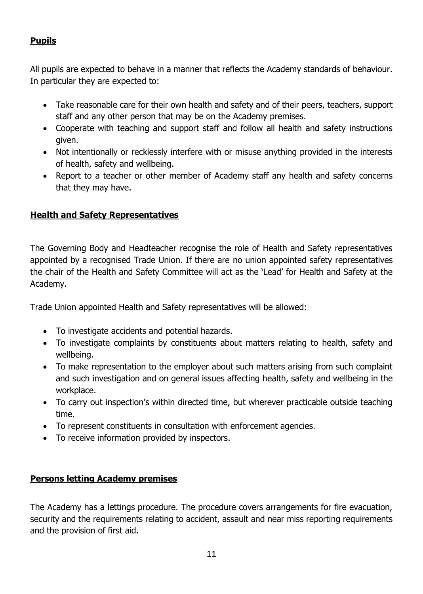#### <span id="page-10-0"></span>**Pupils**

All pupils are expected to behave in a manner that reflects the Academy standards of behaviour. In particular they are expected to:

- Take reasonable care for their own health and safety and of their peers, teachers, support staff and any other person that may be on the Academy premises.
- Cooperate with teaching and support staff and follow all health and safety instructions given.
- Not intentionally or recklessly interfere with or misuse anything provided in the interests of health, safety and wellbeing.
- Report to a teacher or other member of Academy staff any health and safety concerns that they may have.

#### **Health and Safety Representatives**

The Governing Body and Headteacher recognise the role of Health and Safety representatives appointed by a recognised Trade Union. If there are no union appointed safety representatives the chair of the Health and Safety Committee will act as the 'Lead' for Health and Safety at the Academy.

Trade Union appointed Health and Safety representatives will be allowed:

- To investigate accidents and potential hazards.
- To investigate complaints by constituents about matters relating to health, safety and wellbeing.
- To make representation to the employer about such matters arising from such complaint and such investigation and on general issues affecting health, safety and wellbeing in the workplace.
- To carry out inspection's within directed time, but wherever practicable outside teaching time.
- To represent constituents in consultation with enforcement agencies.
- To receive information provided by inspectors.

#### <span id="page-10-1"></span>**Persons letting Academy premises**

The Academy has a lettings procedure. The procedure covers arrangements for fire evacuation, security and the requirements relating to accident, assault and near miss reporting requirements and the provision of first aid.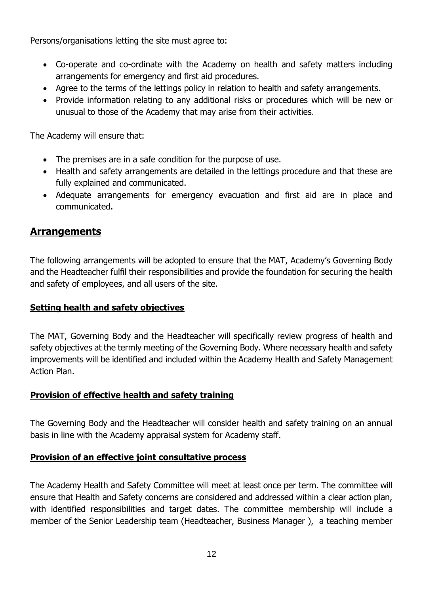Persons/organisations letting the site must agree to:

- Co-operate and co-ordinate with the Academy on health and safety matters including arrangements for emergency and first aid procedures.
- Agree to the terms of the lettings policy in relation to health and safety arrangements.
- Provide information relating to any additional risks or procedures which will be new or unusual to those of the Academy that may arise from their activities.

The Academy will ensure that:

- The premises are in a safe condition for the purpose of use.
- Health and safety arrangements are detailed in the lettings procedure and that these are fully explained and communicated.
- Adequate arrangements for emergency evacuation and first aid are in place and communicated.

#### <span id="page-11-0"></span>**Arrangements**

The following arrangements will be adopted to ensure that the MAT, Academy's Governing Body and the Headteacher fulfil their responsibilities and provide the foundation for securing the health and safety of employees, and all users of the site.

#### <span id="page-11-1"></span>**Setting health and safety objectives**

The MAT, Governing Body and the Headteacher will specifically review progress of health and safety objectives at the termly meeting of the Governing Body. Where necessary health and safety improvements will be identified and included within the Academy Health and Safety Management Action Plan.

#### <span id="page-11-2"></span>**Provision of effective health and safety training**

The Governing Body and the Headteacher will consider health and safety training on an annual basis in line with the Academy appraisal system for Academy staff.

#### <span id="page-11-3"></span>**Provision of an effective joint consultative process**

The Academy Health and Safety Committee will meet at least once per term. The committee will ensure that Health and Safety concerns are considered and addressed within a clear action plan, with identified responsibilities and target dates. The committee membership will include a member of the Senior Leadership team (Headteacher, Business Manager ), a teaching member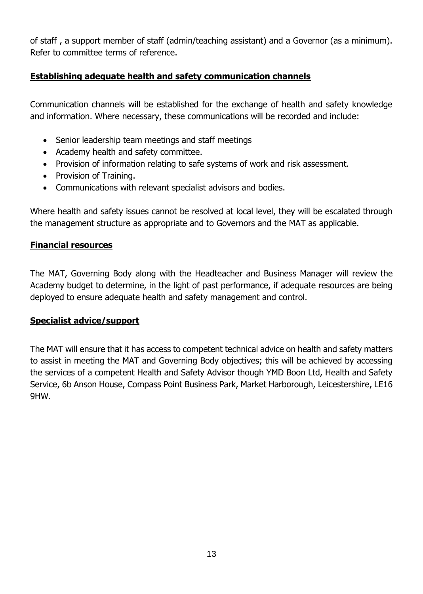of staff , a support member of staff (admin/teaching assistant) and a Governor (as a minimum). Refer to committee terms of reference.

#### <span id="page-12-0"></span>**Establishing adequate health and safety communication channels**

Communication channels will be established for the exchange of health and safety knowledge and information. Where necessary, these communications will be recorded and include:

- Senior leadership team meetings and staff meetings
- Academy health and safety committee.
- Provision of information relating to safe systems of work and risk assessment.
- Provision of Training.
- Communications with relevant specialist advisors and bodies.

Where health and safety issues cannot be resolved at local level, they will be escalated through the management structure as appropriate and to Governors and the MAT as applicable.

#### <span id="page-12-1"></span>**Financial resources**

The MAT, Governing Body along with the Headteacher and Business Manager will review the Academy budget to determine, in the light of past performance, if adequate resources are being deployed to ensure adequate health and safety management and control.

#### <span id="page-12-2"></span>**Specialist advice/support**

The MAT will ensure that it has access to competent technical advice on health and safety matters to assist in meeting the MAT and Governing Body objectives; this will be achieved by accessing the services of a competent Health and Safety Advisor though YMD Boon Ltd, Health and Safety Service, 6b Anson House, Compass Point Business Park, Market Harborough, Leicestershire, LE16 9HW.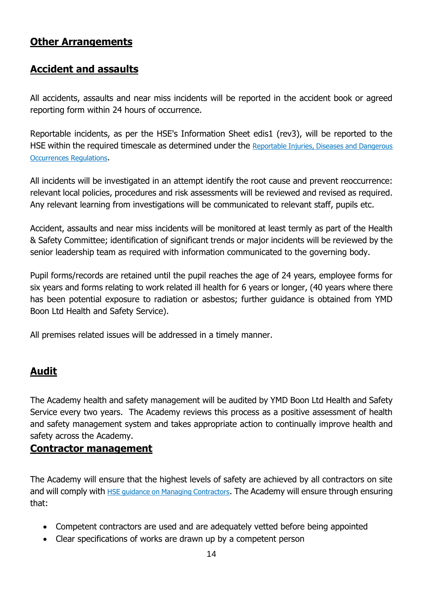# <span id="page-13-0"></span>**Other Arrangements**

# <span id="page-13-1"></span>**Accident and assaults**

All accidents, assaults and near miss incidents will be reported in the accident book or agreed reporting form within 24 hours of occurrence.

Reportable incidents, as per the HSE's Information Sheet edis1 (rev3), will be reported to the HSE within the required timescale as determined under the [Reportable Injuries, Diseases and Dangerous](https://www.hse.gov.uk/riddor/)  [Occurrences Regulations](https://www.hse.gov.uk/riddor/).

All incidents will be investigated in an attempt identify the root cause and prevent reoccurrence: relevant local policies, procedures and risk assessments will be reviewed and revised as required. Any relevant learning from investigations will be communicated to relevant staff, pupils etc.

Accident, assaults and near miss incidents will be monitored at least termly as part of the Health & Safety Committee; identification of significant trends or major incidents will be reviewed by the senior leadership team as required with information communicated to the governing body.

Pupil forms/records are retained until the pupil reaches the age of 24 years, employee forms for six years and forms relating to work related ill health for 6 years or longer, (40 years where there has been potential exposure to radiation or asbestos; further guidance is obtained from YMD Boon Ltd Health and Safety Service).

All premises related issues will be addressed in a timely manner.

## <span id="page-13-2"></span>**Audit**

The Academy health and safety management will be audited by YMD Boon Ltd Health and Safety Service every two years. The Academy reviews this process as a positive assessment of health and safety management system and takes appropriate action to continually improve health and safety across the Academy.

#### **Contractor management**

The Academy will ensure that the highest levels of safety are achieved by all contractors on site and will comply with **[HSE guidance on Managing Contractors](https://www.hse.gov.uk/managing/delivering/do/organising/managing-contractors.htm)**. The Academy will ensure through ensuring that:

- Competent contractors are used and are adequately vetted before being appointed
- Clear specifications of works are drawn up by a competent person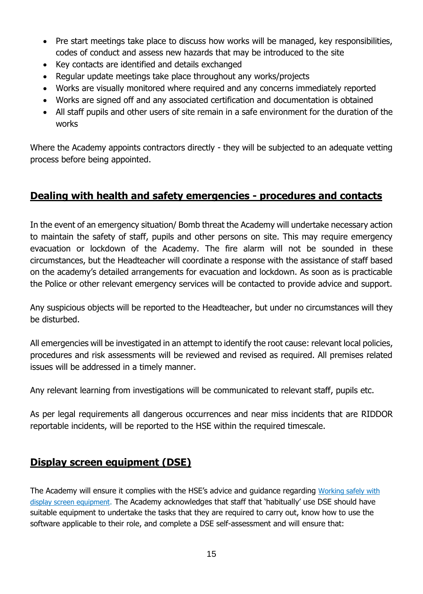- Pre start meetings take place to discuss how works will be managed, key responsibilities, codes of conduct and assess new hazards that may be introduced to the site
- Key contacts are identified and details exchanged
- Regular update meetings take place throughout any works/projects
- Works are visually monitored where required and any concerns immediately reported
- Works are signed off and any associated certification and documentation is obtained
- All staff pupils and other users of site remain in a safe environment for the duration of the works

Where the Academy appoints contractors directly - they will be subjected to an adequate vetting process before being appointed.

# <span id="page-14-0"></span>**Dealing with health and safety emergencies - procedures and contacts**

In the event of an emergency situation/ Bomb threat the Academy will undertake necessary action to maintain the safety of staff, pupils and other persons on site. This may require emergency evacuation or lockdown of the Academy. The fire alarm will not be sounded in these circumstances, but the Headteacher will coordinate a response with the assistance of staff based on the academy's detailed arrangements for evacuation and lockdown. As soon as is practicable the Police or other relevant emergency services will be contacted to provide advice and support.

Any suspicious objects will be reported to the Headteacher, but under no circumstances will they be disturbed.

All emergencies will be investigated in an attempt to identify the root cause: relevant local policies, procedures and risk assessments will be reviewed and revised as required. All premises related issues will be addressed in a timely manner.

Any relevant learning from investigations will be communicated to relevant staff, pupils etc.

As per legal requirements all dangerous occurrences and near miss incidents that are RIDDOR reportable incidents, will be reported to the HSE within the required timescale.

## <span id="page-14-1"></span>**Display screen equipment (DSE)**

The Academy will ensure it complies with the HSE's advice and guidance regarding Working safely with [display screen equipment](http://www.hse.gov.uk/msd/dse/). The Academy acknowledges that staff that 'habitually' use DSE should have suitable equipment to undertake the tasks that they are required to carry out, know how to use the software applicable to their role, and complete a DSE self-assessment and will ensure that: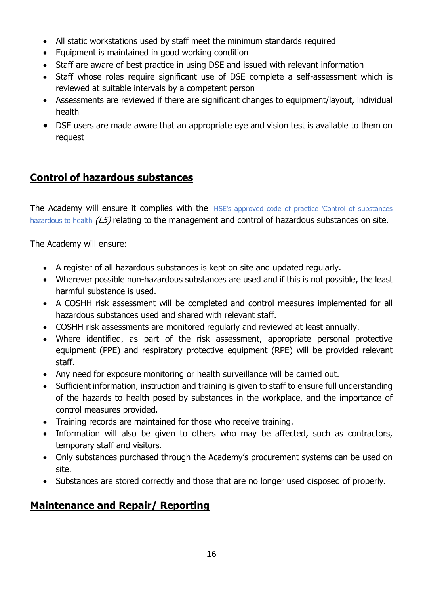- All static workstations used by staff meet the minimum standards required
- Equipment is maintained in good working condition
- Staff are aware of best practice in using DSE and issued with relevant information
- Staff whose roles require significant use of DSE complete a self-assessment which is reviewed at suitable intervals by a competent person
- Assessments are reviewed if there are significant changes to equipment/layout, individual health
- DSE users are made aware that an appropriate eye and vision test is available to them on request

# **Control of hazardous substances**

The Academy will ensure it complies with the HSE's approved code of practice 'Control of substances [hazardous to health](https://www.hse.gov.uk/pubns/priced/l5.pdf)  $(L5)$  relating to the management and control of hazardous substances on site.

The Academy will ensure:

- A register of all hazardous substances is kept on site and updated regularly.
- Wherever possible non-hazardous substances are used and if this is not possible, the least harmful substance is used.
- A COSHH risk assessment will be completed and control measures implemented for all hazardous substances used and shared with relevant staff.
- COSHH risk assessments are monitored regularly and reviewed at least annually.
- Where identified, as part of the risk assessment, appropriate personal protective equipment (PPE) and respiratory protective equipment (RPE) will be provided relevant staff.
- Any need for exposure monitoring or health surveillance will be carried out.
- Sufficient information, instruction and training is given to staff to ensure full understanding of the hazards to health posed by substances in the workplace, and the importance of control measures provided.
- Training records are maintained for those who receive training.
- Information will also be given to others who may be affected, such as contractors, temporary staff and visitors.
- Only substances purchased through the Academy's procurement systems can be used on site.
- Substances are stored correctly and those that are no longer used disposed of properly.

# <span id="page-15-0"></span>**Maintenance and Repair/ Reporting**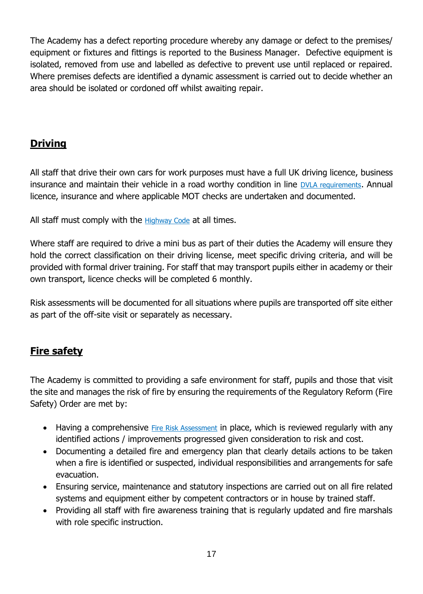The Academy has a defect reporting procedure whereby any damage or defect to the premises/ equipment or fixtures and fittings is reported to the Business Manager. Defective equipment is isolated, removed from use and labelled as defective to prevent use until replaced or repaired. Where premises defects are identified a dynamic assessment is carried out to decide whether an area should be isolated or cordoned off whilst awaiting repair.

# <span id="page-16-0"></span>**Driving**

All staff that drive their own cars for work purposes must have a full UK driving licence, business insurance and maintain their vehicle in a road worthy condition in line **[DVLA requirements](https://www.gov.uk/government/organisations/driver-and-vehicle-licensing-agency)**. Annual licence, insurance and where applicable MOT checks are undertaken and documented.

All staff must comply with the [Highway Code](https://www.gov.uk/guidance/the-highway-code) at all times.

Where staff are required to drive a mini bus as part of their duties the Academy will ensure they hold the correct classification on their driving license, meet specific driving criteria, and will be provided with formal driver training. For staff that may transport pupils either in academy or their own transport, licence checks will be completed 6 monthly.

Risk assessments will be documented for all situations where pupils are transported off site either as part of the off-site visit or separately as necessary.

# <span id="page-16-1"></span>**Fire safety**

The Academy is committed to providing a safe environment for staff, pupils and those that visit the site and manages the risk of fire by ensuring the requirements of the Regulatory Reform (Fire Safety) Order are met by:

- Having a comprehensive [Fire Risk Assessment](https://assets.publishing.service.gov.uk/government/uploads/system/uploads/attachment_data/file/14887/fsra-educational-premises.pdf) in place, which is reviewed regularly with any identified actions / improvements progressed given consideration to risk and cost.
- Documenting a detailed fire and emergency plan that clearly details actions to be taken when a fire is identified or suspected, individual responsibilities and arrangements for safe evacuation.
- Ensuring service, maintenance and statutory inspections are carried out on all fire related systems and equipment either by competent contractors or in house by trained staff.
- Providing all staff with fire awareness training that is regularly updated and fire marshals with role specific instruction.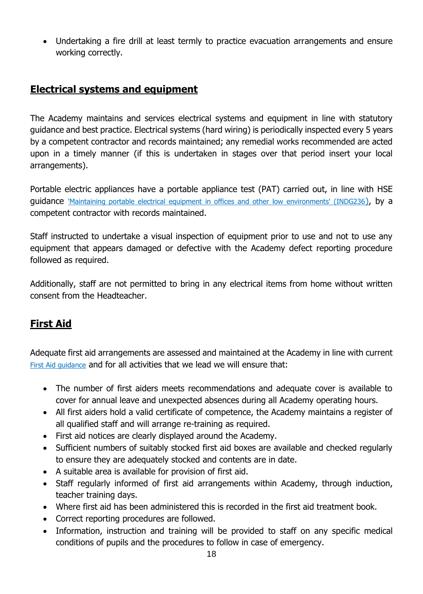• Undertaking a fire drill at least termly to practice evacuation arrangements and ensure working correctly.

# <span id="page-17-0"></span>**Electrical systems and equipment**

The Academy maintains and services electrical systems and equipment in line with statutory guidance and best practice. Electrical systems (hard wiring) is periodically inspected every 5 years by a competent contractor and records maintained; any remedial works recommended are acted upon in a timely manner (if this is undertaken in stages over that period insert your local arrangements).

Portable electric appliances have a portable appliance test (PAT) carried out, in line with HSE guidance ['Maintaining portable electrical equipment in offices and other low environments' \(INDG236](https://www.hse.gov.uk/pubns/indg236.pdf)), by a competent contractor with records maintained.

Staff instructed to undertake a visual inspection of equipment prior to use and not to use any equipment that appears damaged or defective with the Academy defect reporting procedure followed as required.

Additionally, staff are not permitted to bring in any electrical items from home without written consent from the Headteacher.

# <span id="page-17-1"></span>**First Aid**

Adequate first aid arrangements are assessed and maintained at the Academy in line with current [First Aid guidance](https://www.hse.gov.uk/firstaid/) and for all activities that we lead we will ensure that:

- The number of first aiders meets recommendations and adequate cover is available to cover for annual leave and unexpected absences during all Academy operating hours.
- All first aiders hold a valid certificate of competence, the Academy maintains a register of all qualified staff and will arrange re-training as required.
- First aid notices are clearly displayed around the Academy.
- Sufficient numbers of suitably stocked first aid boxes are available and checked regularly to ensure they are adequately stocked and contents are in date.
- A suitable area is available for provision of first aid.
- Staff regularly informed of first aid arrangements within Academy, through induction, teacher training days.
- Where first aid has been administered this is recorded in the first aid treatment book.
- Correct reporting procedures are followed.
- Information, instruction and training will be provided to staff on any specific medical conditions of pupils and the procedures to follow in case of emergency.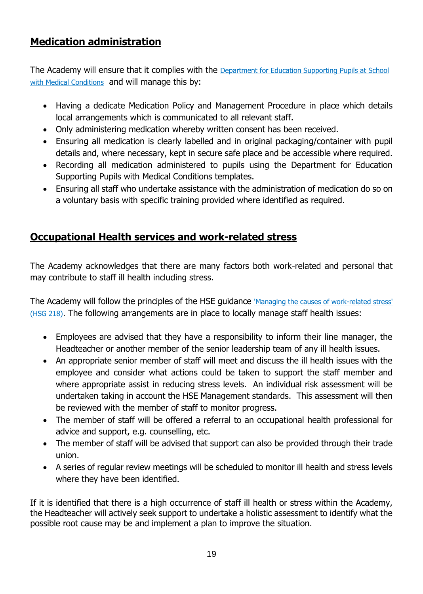# **Medication administration**

The Academy will ensure that it complies with the Department for Education Supporting Pupils at School [with Medical Conditions](https://assets.publishing.service.gov.uk/government/uploads/system/uploads/attachment_data/file/803956/supporting-pupils-at-school-with-medical-conditions.pdf) and will manage this by:

- Having a dedicate Medication Policy and Management Procedure in place which details local arrangements which is communicated to all relevant staff.
- Only administering medication whereby written consent has been received.
- Ensuring all medication is clearly labelled and in original packaging/container with pupil details and, where necessary, kept in secure safe place and be accessible where required.
- Recording all medication administered to pupils using the Department for Education Supporting Pupils with Medical Conditions templates.
- Ensuring all staff who undertake assistance with the administration of medication do so on a voluntary basis with specific training provided where identified as required.

# <span id="page-18-0"></span>**Occupational Health services and work-related stress**

The Academy acknowledges that there are many factors both work-related and personal that may contribute to staff ill health including stress.

The Academy will follow the principles of the HSE guidance ['Managing the causes of work-related stress'](https://www.hse.gov.uk/pubns/wbk01.pdf)  [\(HSG 218\)](https://www.hse.gov.uk/pubns/wbk01.pdf). The following arrangements are in place to locally manage staff health issues:

- Employees are advised that they have a responsibility to inform their line manager, the Headteacher or another member of the senior leadership team of any ill health issues.
- An appropriate senior member of staff will meet and discuss the ill health issues with the employee and consider what actions could be taken to support the staff member and where appropriate assist in reducing stress levels. An individual risk assessment will be undertaken taking in account the HSE Management standards. This assessment will then be reviewed with the member of staff to monitor progress.
- The member of staff will be offered a referral to an occupational health professional for advice and support, e.g. counselling, etc.
- The member of staff will be advised that support can also be provided through their trade union.
- A series of regular review meetings will be scheduled to monitor ill health and stress levels where they have been identified.

If it is identified that there is a high occurrence of staff ill health or stress within the Academy, the Headteacher will actively seek support to undertake a holistic assessment to identify what the possible root cause may be and implement a plan to improve the situation.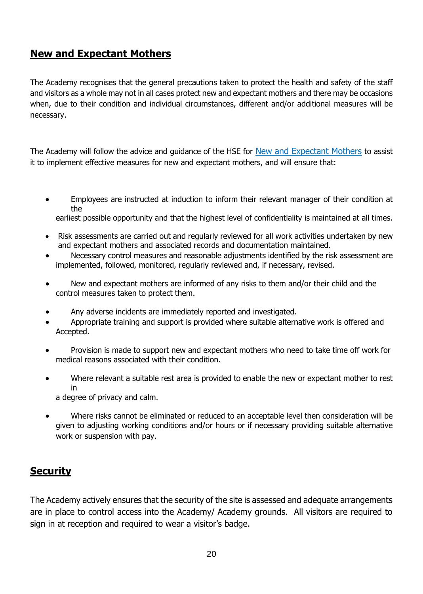# <span id="page-19-0"></span>**New and Expectant Mothers**

The Academy recognises that the general precautions taken to protect the health and safety of the staff and visitors as a whole may not in all cases protect new and expectant mothers and there may be occasions when, due to their condition and individual circumstances, different and/or additional measures will be necessary.

The Academy will follow the advice and guidance of the HSE for [New and Expectant Mothers](https://assets.publishing.service.gov.uk/government/uploads/system/uploads/attachment_data/file/306370/guidance_on_first_aid_for_schools.pdf) to assist it to implement effective measures for new and expectant mothers, and will ensure that:

• Employees are instructed at induction to inform their relevant manager of their condition at the

earliest possible opportunity and that the highest level of confidentiality is maintained at all times.

- Risk assessments are carried out and regularly reviewed for all work activities undertaken by new and expectant mothers and associated records and documentation maintained.
- Necessary control measures and reasonable adjustments identified by the risk assessment are implemented, followed, monitored, regularly reviewed and, if necessary, revised.
- New and expectant mothers are informed of any risks to them and/or their child and the control measures taken to protect them.
- Any adverse incidents are immediately reported and investigated.
- Appropriate training and support is provided where suitable alternative work is offered and Accepted.
- Provision is made to support new and expectant mothers who need to take time off work for medical reasons associated with their condition.
- Where relevant a suitable rest area is provided to enable the new or expectant mother to rest in

a degree of privacy and calm.

• Where risks cannot be eliminated or reduced to an acceptable level then consideration will be given to adjusting working conditions and/or hours or if necessary providing suitable alternative work or suspension with pay.

## <span id="page-19-1"></span>**Security**

The Academy actively ensures that the security of the site is assessed and adequate arrangements are in place to control access into the Academy/ Academy grounds. All visitors are required to sign in at reception and required to wear a visitor's badge.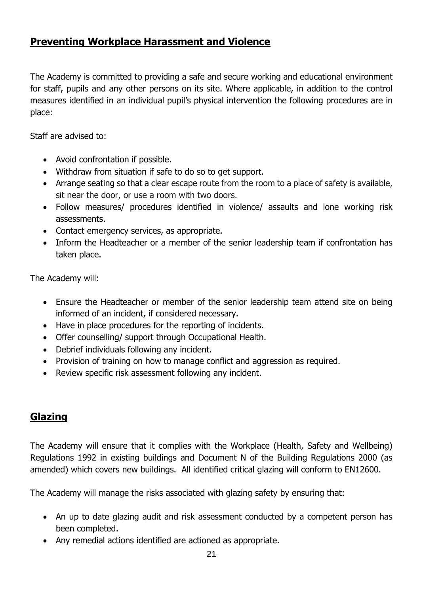# **Preventing Workplace Harassment and Violence**

The Academy is committed to providing a safe and secure working and educational environment for staff, pupils and any other persons on its site. Where applicable, in addition to the control measures identified in an individual pupil's physical intervention the following procedures are in place:

Staff are advised to:

- Avoid confrontation if possible.
- Withdraw from situation if safe to do so to get support.
- Arrange seating so that a clear escape route from the room to a place of safety is available, sit near the door, or use a room with two doors.
- Follow measures/ procedures identified in violence/ assaults and lone working risk assessments.
- Contact emergency services, as appropriate.
- Inform the Headteacher or a member of the senior leadership team if confrontation has taken place.

The Academy will:

- Ensure the Headteacher or member of the senior leadership team attend site on being informed of an incident, if considered necessary.
- Have in place procedures for the reporting of incidents.
- Offer counselling/ support through Occupational Health.
- Debrief individuals following any incident.
- Provision of training on how to manage conflict and aggression as required.
- Review specific risk assessment following any incident.

## <span id="page-20-0"></span>**Glazing**

The Academy will ensure that it complies with the Workplace (Health, Safety and Wellbeing) Regulations 1992 in existing buildings and Document N of the Building Regulations 2000 (as amended) which covers new buildings. All identified critical glazing will conform to EN12600.

The Academy will manage the risks associated with glazing safety by ensuring that:

- An up to date glazing audit and risk assessment conducted by a competent person has been completed.
- Any remedial actions identified are actioned as appropriate.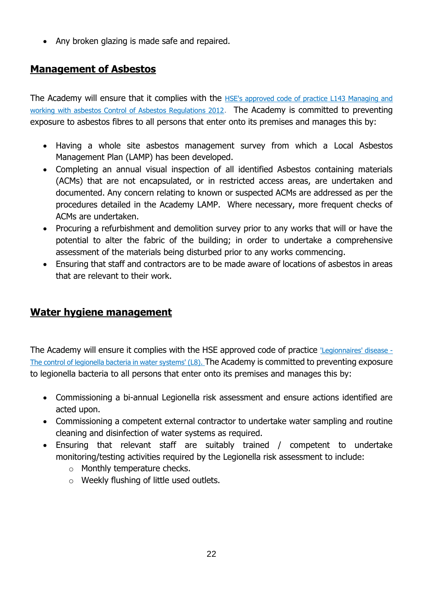• Any broken glazing is made safe and repaired.

# <span id="page-21-0"></span>**Management of Asbestos**

The Academy will ensure that it complies with the HSE's approved code of practice L143 Managing and [working with asbestos Control of Asbestos Regulations 2012](https://www.hse.gov.uk/pubns/priced/l143.pdf). The Academy is committed to preventing exposure to asbestos fibres to all persons that enter onto its premises and manages this by:

- Having a whole site asbestos management survey from which a Local Asbestos Management Plan (LAMP) has been developed.
- Completing an annual visual inspection of all identified Asbestos containing materials (ACMs) that are not encapsulated, or in restricted access areas, are undertaken and documented. Any concern relating to known or suspected ACMs are addressed as per the procedures detailed in the Academy LAMP. Where necessary, more frequent checks of ACMs are undertaken.
- Procuring a refurbishment and demolition survey prior to any works that will or have the potential to alter the fabric of the building; in order to undertake a comprehensive assessment of the materials being disturbed prior to any works commencing.
- Ensuring that staff and contractors are to be made aware of locations of asbestos in areas that are relevant to their work.

## **Water hygiene management**

The Academy will ensure it complies with the HSE approved code of practice ['Legionnaires' disease -](https://www.hse.gov.uk/pubns/priced/l8.pdf) [The control of legionella bacteria in water systems' \(L8\).](https://www.hse.gov.uk/pubns/priced/l8.pdf) The Academy is committed to preventing exposure to legionella bacteria to all persons that enter onto its premises and manages this by:

- Commissioning a bi-annual Legionella risk assessment and ensure actions identified are acted upon.
- Commissioning a competent external contractor to undertake water sampling and routine cleaning and disinfection of water systems as required.
- Ensuring that relevant staff are suitably trained / competent to undertake monitoring/testing activities required by the Legionella risk assessment to include:
	- o Monthly temperature checks.
	- o Weekly flushing of little used outlets.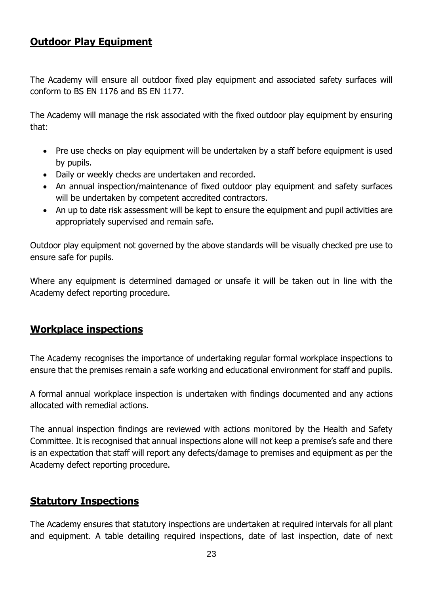### **Outdoor Play Equipment**

The Academy will ensure all outdoor fixed play equipment and associated safety surfaces will conform to BS EN 1176 and BS EN 1177.

The Academy will manage the risk associated with the fixed outdoor play equipment by ensuring that:

- Pre use checks on play equipment will be undertaken by a staff before equipment is used by pupils.
- Daily or weekly checks are undertaken and recorded.
- An annual inspection/maintenance of fixed outdoor play equipment and safety surfaces will be undertaken by competent accredited contractors.
- An up to date risk assessment will be kept to ensure the equipment and pupil activities are appropriately supervised and remain safe.

Outdoor play equipment not governed by the above standards will be visually checked pre use to ensure safe for pupils.

Where any equipment is determined damaged or unsafe it will be taken out in line with the Academy defect reporting procedure.

# <span id="page-22-0"></span>**Workplace inspections**

The Academy recognises the importance of undertaking regular formal workplace inspections to ensure that the premises remain a safe working and educational environment for staff and pupils.

A formal annual workplace inspection is undertaken with findings documented and any actions allocated with remedial actions.

The annual inspection findings are reviewed with actions monitored by the Health and Safety Committee. It is recognised that annual inspections alone will not keep a premise's safe and there is an expectation that staff will report any defects/damage to premises and equipment as per the Academy defect reporting procedure.

#### <span id="page-22-1"></span>**Statutory Inspections**

The Academy ensures that statutory inspections are undertaken at required intervals for all plant and equipment. A table detailing required inspections, date of last inspection, date of next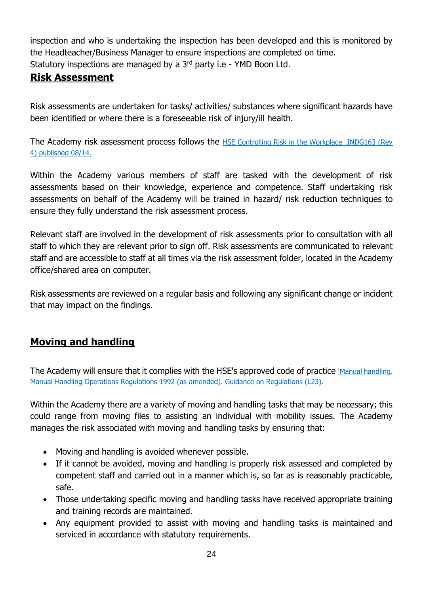inspection and who is undertaking the inspection has been developed and this is monitored by the Headteacher/Business Manager to ensure inspections are completed on time. Statutory inspections are managed by a 3<sup>rd</sup> party i.e - YMD Boon Ltd.

## <span id="page-23-0"></span>**Risk Assessment**

Risk assessments are undertaken for tasks/ activities/ substances where significant hazards have been identified or where there is a foreseeable risk of injury/ill health.

The Academy risk assessment process follows the HSE Controlling Risk in the Workplace INDG163 (Rev [4\) published 08/14.](https://www.hse.gov.uk/pubns/indg163.pdf)

Within the Academy various members of staff are tasked with the development of risk assessments based on their knowledge, experience and competence. Staff undertaking risk assessments on behalf of the Academy will be trained in hazard/ risk reduction techniques to ensure they fully understand the risk assessment process.

Relevant staff are involved in the development of risk assessments prior to consultation with all staff to which they are relevant prior to sign off. Risk assessments are communicated to relevant staff and are accessible to staff at all times via the risk assessment folder, located in the Academy office/shared area on computer.

Risk assessments are reviewed on a regular basis and following any significant change or incident that may impact on the findings.

# <span id="page-23-1"></span>**Moving and handling**

The Academy will ensure that it complies with the HSE's approved code of practice 'Manual handling. [Manual Handling Operations Regulations 1992 \(as amended\). Guidance on Regulations \(L23\).](https://www.hse.gov.uk/pubns/priced/l23.pdf)

Within the Academy there are a variety of moving and handling tasks that may be necessary; this could range from moving files to assisting an individual with mobility issues. The Academy manages the risk associated with moving and handling tasks by ensuring that:

- Moving and handling is avoided whenever possible.
- If it cannot be avoided, moving and handling is properly risk assessed and completed by competent staff and carried out in a manner which is, so far as is reasonably practicable, safe.
- Those undertaking specific moving and handling tasks have received appropriate training and training records are maintained.
- Any equipment provided to assist with moving and handling tasks is maintained and serviced in accordance with statutory requirements.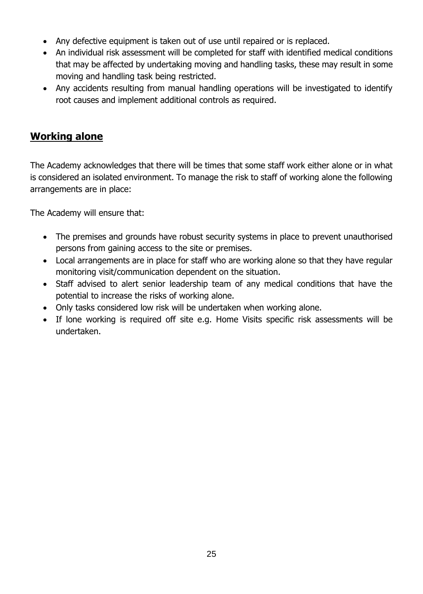- Any defective equipment is taken out of use until repaired or is replaced.
- An individual risk assessment will be completed for staff with identified medical conditions that may be affected by undertaking moving and handling tasks, these may result in some moving and handling task being restricted.
- Any accidents resulting from manual handling operations will be investigated to identify root causes and implement additional controls as required.

# <span id="page-24-0"></span>**Working alone**

The Academy acknowledges that there will be times that some staff work either alone or in what is considered an isolated environment. To manage the risk to staff of working alone the following arrangements are in place:

The Academy will ensure that:

- The premises and grounds have robust security systems in place to prevent unauthorised persons from gaining access to the site or premises.
- Local arrangements are in place for staff who are working alone so that they have regular monitoring visit/communication dependent on the situation.
- Staff advised to alert senior leadership team of any medical conditions that have the potential to increase the risks of working alone.
- Only tasks considered low risk will be undertaken when working alone.
- If lone working is required off site e.g. Home Visits specific risk assessments will be undertaken.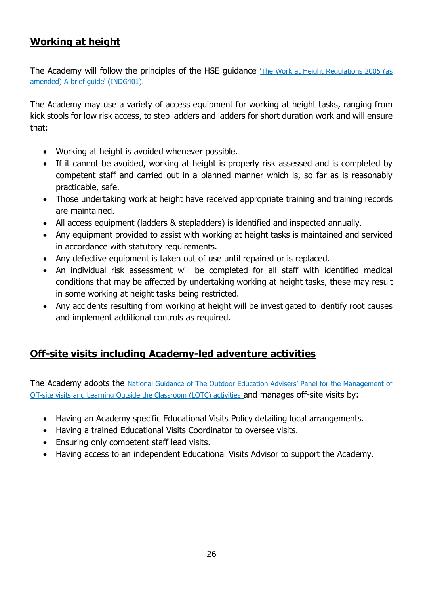# <span id="page-25-0"></span>**Working at height**

The Academy will follow the principles of the HSE guidance The Work at Height Regulations 2005 (as [amended\) A brief guide' \(INDG401\).](https://www.hse.gov.uk/pubns/indg401.pdf)

The Academy may use a variety of access equipment for working at height tasks, ranging from kick stools for low risk access, to step ladders and ladders for short duration work and will ensure that:

- Working at height is avoided whenever possible.
- If it cannot be avoided, working at height is properly risk assessed and is completed by competent staff and carried out in a planned manner which is, so far as is reasonably practicable, safe.
- Those undertaking work at height have received appropriate training and training records are maintained.
- All access equipment (ladders & stepladders) is identified and inspected annually.
- Any equipment provided to assist with working at height tasks is maintained and serviced in accordance with statutory requirements.
- Any defective equipment is taken out of use until repaired or is replaced.
- An individual risk assessment will be completed for all staff with identified medical conditions that may be affected by undertaking working at height tasks, these may result in some working at height tasks being restricted.
- Any accidents resulting from working at height will be investigated to identify root causes and implement additional controls as required.

## <span id="page-25-1"></span>**Off-site visits including Academy-led adventure activities**

The Academy adopts the [National Guidance of The Outdoor Education Advisers' Panel for the Management of](https://oeapng.info/)  [Off-site visits and Learning Outside the Classroom \(LOTC\) activities](https://oeapng.info/) and manages off-site visits by:

- Having an Academy specific Educational Visits Policy detailing local arrangements.
- Having a trained Educational Visits Coordinator to oversee visits.
- Ensuring only competent staff lead visits.
- Having access to an independent Educational Visits Advisor to support the Academy.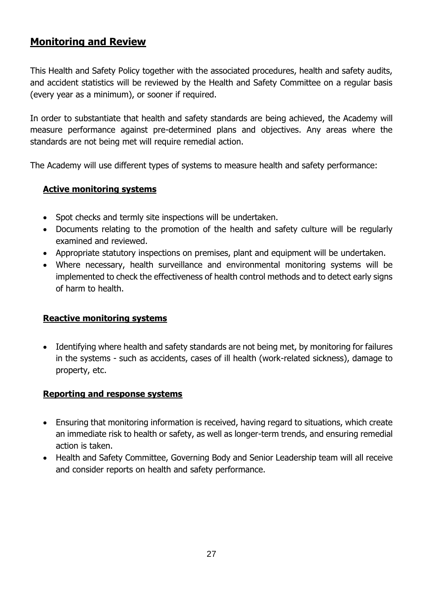# <span id="page-26-0"></span>**Monitoring and Review**

This Health and Safety Policy together with the associated procedures, health and safety audits, and accident statistics will be reviewed by the Health and Safety Committee on a regular basis (every year as a minimum), or sooner if required.

In order to substantiate that health and safety standards are being achieved, the Academy will measure performance against pre-determined plans and objectives. Any areas where the standards are not being met will require remedial action.

The Academy will use different types of systems to measure health and safety performance:

#### <span id="page-26-1"></span>**Active monitoring systems**

- Spot checks and termly site inspections will be undertaken.
- Documents relating to the promotion of the health and safety culture will be regularly examined and reviewed.
- Appropriate statutory inspections on premises, plant and equipment will be undertaken.
- Where necessary, health surveillance and environmental monitoring systems will be implemented to check the effectiveness of health control methods and to detect early signs of harm to health.

#### <span id="page-26-2"></span>**Reactive monitoring systems**

• Identifying where health and safety standards are not being met, by monitoring for failures in the systems - such as accidents, cases of ill health (work-related sickness), damage to property, etc.

#### <span id="page-26-3"></span>**Reporting and response systems**

- Ensuring that monitoring information is received, having regard to situations, which create an immediate risk to health or safety, as well as longer-term trends, and ensuring remedial action is taken.
- Health and Safety Committee, Governing Body and Senior Leadership team will all receive and consider reports on health and safety performance.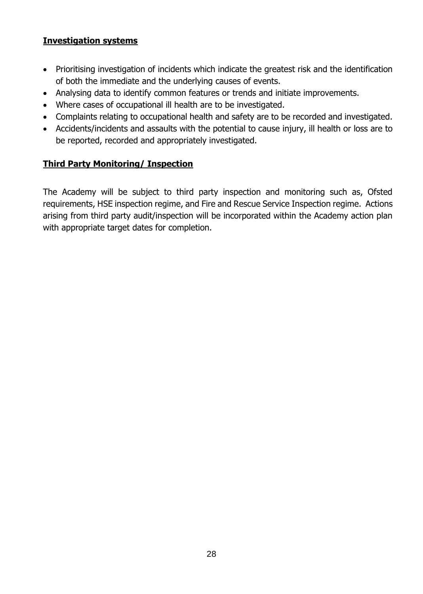#### <span id="page-27-0"></span>**Investigation systems**

- Prioritising investigation of incidents which indicate the greatest risk and the identification of both the immediate and the underlying causes of events.
- Analysing data to identify common features or trends and initiate improvements.
- Where cases of occupational ill health are to be investigated.
- Complaints relating to occupational health and safety are to be recorded and investigated.
- Accidents/incidents and assaults with the potential to cause injury, ill health or loss are to be reported, recorded and appropriately investigated.

#### <span id="page-27-1"></span>**Third Party Monitoring/ Inspection**

The Academy will be subject to third party inspection and monitoring such as, Ofsted requirements, HSE inspection regime, and Fire and Rescue Service Inspection regime. Actions arising from third party audit/inspection will be incorporated within the Academy action plan with appropriate target dates for completion.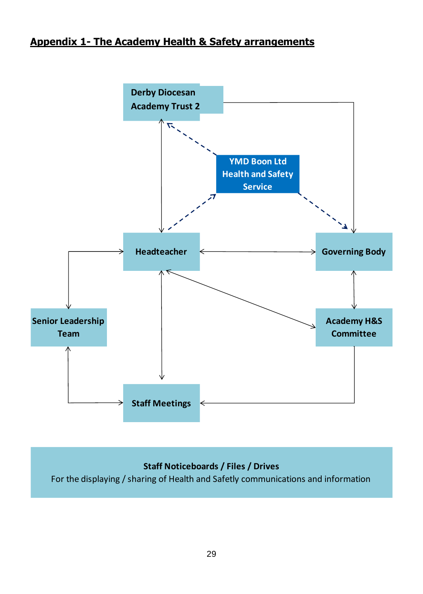# <span id="page-28-0"></span>**Appendix 1- The Academy Health & Safety arrangements**



#### **Staff Noticeboards / Files / Drives**

For the displaying / sharing of Health and Safetly communications and information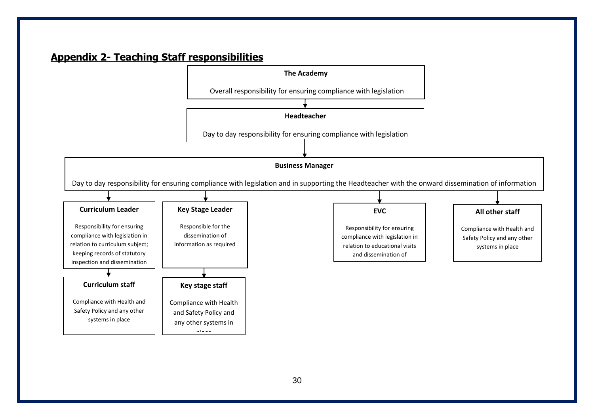# **Appendix 2- Teaching Staff responsibilities**

<span id="page-29-0"></span>